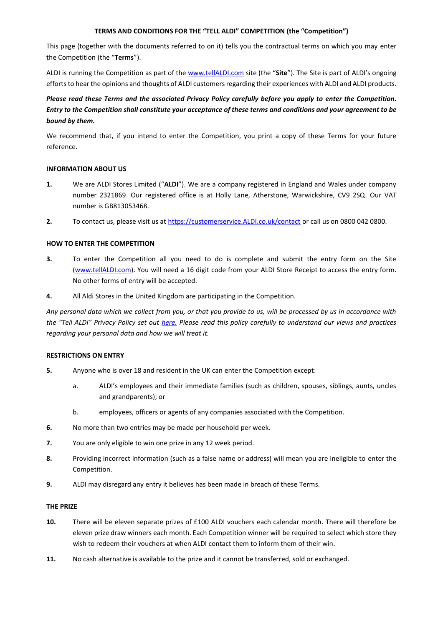# **TERMS AND CONDITIONS FOR THE "TELL ALDI" COMPETITION (the "Competition")**

This page (together with the documents referred to on it) tells you the contractual terms on which you may enter the Competition (the "**Terms**").

ALDI is running the Competition as part of th[e www.tellALDI.com](http://www.tellaldi.com/) site (the "**Site**"). The Site is part of ALDI's ongoing efforts to hear the opinions and thoughts of ALDI customers regarding their experiences with ALDI and ALDI products.

# *Please read these Terms and the associated Privacy Policy carefully before you apply to enter the Competition. Entry to the Competition shall constitute your acceptance of these terms and conditions and your agreement to be bound by them.*

We recommend that, if you intend to enter the Competition, you print a copy of these Terms for your future reference.

# **INFORMATION ABOUT US**

- **1.** We are ALDI Stores Limited ("**ALDI**"). We are a company registered in England and Wales under company number 2321869. Our registered office is at Holly Lane, Atherstone, Warwickshire, CV9 2SQ. Our VAT number is GB813053468.
- **2.** To contact us, please visit us at [https://customerservice.ALDI.co.uk/contact](https://customerservice.aldi.co.uk/contact) or call us on 0800 042 0800.

# **HOW TO ENTER THE COMPETITION**

- **3.** To enter the Competition all you need to do is complete and submit the entry form on the Site [\(www.tellALDI.com\)](http://www.tellaldi.com/). You will need a 16 digit code from your ALDI Store Receipt to access the entry form. No other forms of entry will be accepted.
- **4.** All Aldi Stores in the United Kingdom are participating in the Competition.

*Any personal data which we collect from you, or that you provide to us, will be processed by us in accordance with the "Tell ALDI" Privacy Policy set out [here.](https://www.aldi.co.uk/customer-services/privacy-notice) Please read this policy carefully to understand our views and practices regarding your personal data and how we will treat it.*

# **RESTRICTIONS ON ENTRY**

- **5.** Anyone who is over 18 and resident in the UK can enter the Competition except:
	- a. ALDI's employees and their immediate families (such as children, spouses, siblings, aunts, uncles and grandparents); or
	- b. employees, officers or agents of any companies associated with the Competition.
- **6.** No more than two entries may be made per household per week.
- **7.** You are only eligible to win one prize in any 12 week period.
- **8.** Providing incorrect information (such as a false name or address) will mean you are ineligible to enter the Competition.
- **9.** ALDI may disregard any entry it believes has been made in breach of these Terms.

# **THE PRIZE**

- **10.** There will be eleven separate prizes of £100 ALDI vouchers each calendar month. There will therefore be eleven prize draw winners each month. Each Competition winner will be required to select which store they wish to redeem their vouchers at when ALDI contact them to inform them of their win.
- **11.** No cash alternative is available to the prize and it cannot be transferred, sold or exchanged.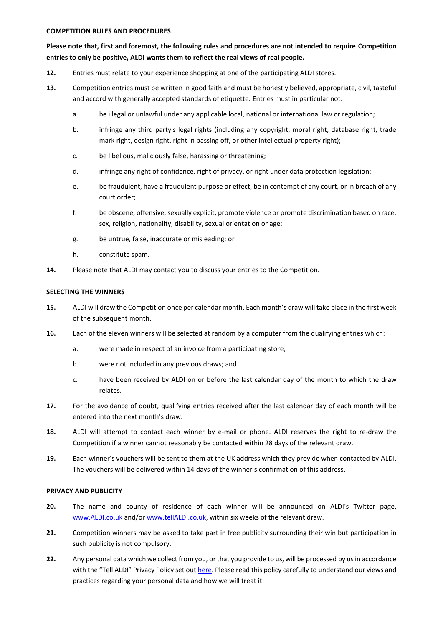#### **COMPETITION RULES AND PROCEDURES**

# **Please note that, first and foremost, the following rules and procedures are not intended to require Competition entries to only be positive, ALDI wants them to reflect the real views of real people.**

- **12.** Entries must relate to your experience shopping at one of the participating ALDI stores.
- **13.** Competition entries must be written in good faith and must be honestly believed, appropriate, civil, tasteful and accord with generally accepted standards of etiquette. Entries must in particular not:
	- a. be illegal or unlawful under any applicable local, national or international law or regulation;
	- b. infringe any third party's legal rights (including any copyright, moral right, database right, trade mark right, design right, right in passing off, or other intellectual property right);
	- c. be libellous, maliciously false, harassing or threatening;
	- d. infringe any right of confidence, right of privacy, or right under data protection legislation;
	- e. be fraudulent, have a fraudulent purpose or effect, be in contempt of any court, or in breach of any court order;
	- f. be obscene, offensive, sexually explicit, promote violence or promote discrimination based on race, sex, religion, nationality, disability, sexual orientation or age;
	- g. be untrue, false, inaccurate or misleading; or
	- h. constitute spam.
- **14.** Please note that ALDI may contact you to discuss your entries to the Competition.

# **SELECTING THE WINNERS**

- **15.** ALDI will draw the Competition once per calendar month. Each month's draw will take place in the first week of the subsequent month.
- **16.** Each of the eleven winners will be selected at random by a computer from the qualifying entries which:
	- a. were made in respect of an invoice from a participating store;
	- b. were not included in any previous draws; and
	- c. have been received by ALDI on or before the last calendar day of the month to which the draw relates.
- **17.** For the avoidance of doubt, qualifying entries received after the last calendar day of each month will be entered into the next month's draw.
- **18.** ALDI will attempt to contact each winner by e-mail or phone. ALDI reserves the right to re-draw the Competition if a winner cannot reasonably be contacted within 28 days of the relevant draw.
- **19.** Each winner's vouchers will be sent to them at the UK address which they provide when contacted by ALDI. The vouchers will be delivered within 14 days of the winner's confirmation of this address.

# **PRIVACY AND PUBLICITY**

- **20.** The name and county of residence of each winner will be announced on ALDI's Twitter page, [www.ALDI.co.uk](http://www.aldi.co.uk/) and/or [www.tellALDI.co.uk,](http://www.tellaldi.co.uk/) within six weeks of the relevant draw.
- **21.** Competition winners may be asked to take part in free publicity surrounding their win but participation in such publicity is not compulsory.
- **22.** Any personal data which we collect from you, or that you provide to us, will be processed by us in accordance with the "Tell ALDI" Privacy Policy set out [here.](https://www.aldi.co.uk/customer-services/privacy-notice) Please read this policy carefully to understand our views and practices regarding your personal data and how we will treat it.